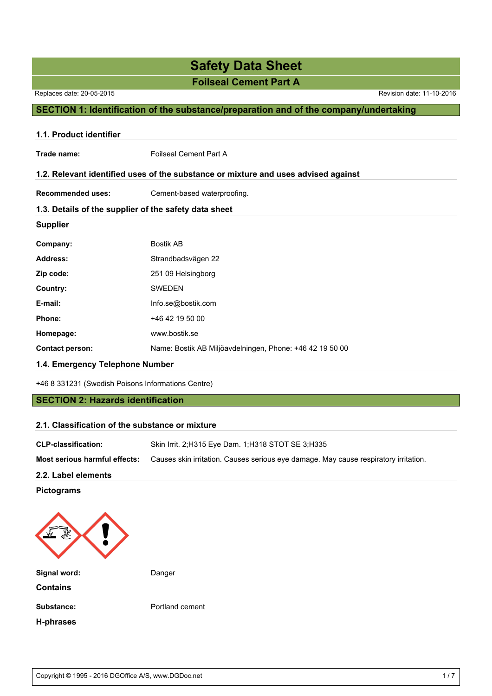**Foilseal Cement Part A**

Replaces date: 20-05-2015 Revision date: 11-10-2016

### **SECTION 1: Identification of the substance/preparation and of the company/undertaking**

| 1.1. Product identifier         |                                                                                    |  |  |  |
|---------------------------------|------------------------------------------------------------------------------------|--|--|--|
| Trade name:                     | <b>Foilseal Cement Part A</b>                                                      |  |  |  |
|                                 | 1.2. Relevant identified uses of the substance or mixture and uses advised against |  |  |  |
| <b>Recommended uses:</b>        | Cement-based waterproofing.                                                        |  |  |  |
|                                 | 1.3. Details of the supplier of the safety data sheet                              |  |  |  |
| <b>Supplier</b>                 |                                                                                    |  |  |  |
| Company:                        | <b>Bostik AB</b>                                                                   |  |  |  |
| <b>Address:</b>                 | Strandbadsvägen 22                                                                 |  |  |  |
| Zip code:                       | 251 09 Helsingborg                                                                 |  |  |  |
| Country:                        | <b>SWEDEN</b>                                                                      |  |  |  |
| E-mail:                         | Info.se@bostik.com                                                                 |  |  |  |
| Phone:                          | +46 42 19 50 00                                                                    |  |  |  |
| Homepage:                       | www.bostik.se                                                                      |  |  |  |
| <b>Contact person:</b>          | Name: Bostik AB Miljöavdelningen, Phone: +46 42 19 50 00                           |  |  |  |
| 1.4. Emergency Telephone Number |                                                                                    |  |  |  |

+46 8 331231 (Swedish Poisons Informations Centre)

### **SECTION 2: Hazards identification**

### **2.1. Classification of the substance or mixture**

| <b>CLP-classification:</b>    | Skin Irrit. 2; H315 Eye Dam. 1; H318 STOT SE 3; H335                                 |
|-------------------------------|--------------------------------------------------------------------------------------|
| Most serious harmful effects: | Causes skin irritation. Causes serious eye damage. May cause respiratory irritation. |

### **2.2. Label elements**

### **Pictograms**

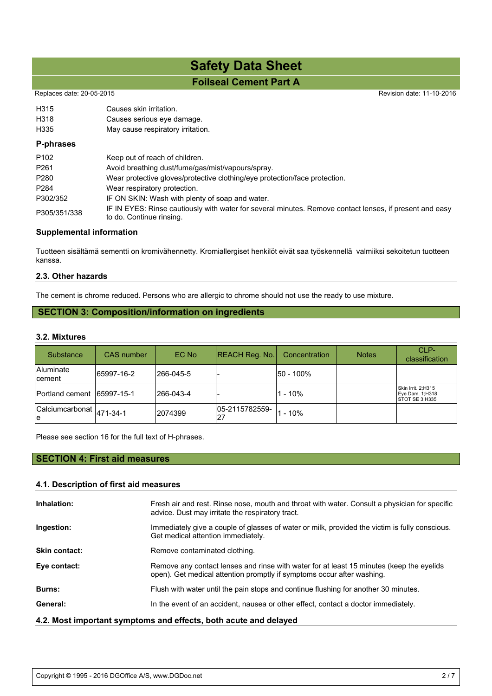## **Foilseal Cement Part A Safety Data Sheet**

Replaces date: 20-05-2015 Revision date: 11-10-2016

| H315<br>H318<br>H335 | Causes skin irritation.<br>Causes serious eye damage.<br>May cause respiratory irritation.                                          |
|----------------------|-------------------------------------------------------------------------------------------------------------------------------------|
| P-phrases            |                                                                                                                                     |
| P <sub>102</sub>     | Keep out of reach of children.                                                                                                      |
| P <sub>261</sub>     | Avoid breathing dust/fume/gas/mist/vapours/spray.                                                                                   |
| P280                 | Wear protective gloves/protective clothing/eye protection/face protection.                                                          |
| P <sub>284</sub>     | Wear respiratory protection.                                                                                                        |
| P302/352             | IF ON SKIN: Wash with plenty of soap and water.                                                                                     |
| P305/351/338         | IF IN EYES: Rinse cautiously with water for several minutes. Remove contact lenses, if present and easy<br>to do. Continue rinsing. |

### **Supplemental information**

Tuotteen sisältämä sementti on kromivähennetty. Kromiallergiset henkilöt eivät saa työskennellä valmiiksi sekoitetun tuotteen kanssa.

### **2.3. Other hazards**

The cement is chrome reduced. Persons who are allergic to chrome should not use the ready to use mixture.

## **SECTION 3: Composition/information on ingredients**

### **3.2. Mixtures**

| <b>Substance</b>                  | <b>CAS</b> number | EC No      | REACH Reg. No.       | Concentration | <b>Notes</b> | CLP-<br>classification                                  |
|-----------------------------------|-------------------|------------|----------------------|---------------|--------------|---------------------------------------------------------|
| <b>Aluminate</b><br><b>cement</b> | 65997-16-2        | l266-045-5 |                      | l50 - 100%    |              |                                                         |
| Portland cement                   | 65997-15-1        | l266-043-4 |                      | l1 - 10%      |              | Skin Irrit. 2;H315<br>Eye Dam. 1;H318<br>STOT SE 3;H335 |
| Calciumcarbonat  471-34-1<br>١e   |                   | 2074399    | 05-2115782559-<br>27 | 1 - 10%       |              |                                                         |

Please see section 16 for the full text of H-phrases.

## **SECTION 4: First aid measures**

### **4.1. Description of first aid measures**

| Inhalation:                                                      | Fresh air and rest. Rinse nose, mouth and throat with water. Consult a physician for specific<br>advice. Dust may irritate the respiratory tract.                  |  |
|------------------------------------------------------------------|--------------------------------------------------------------------------------------------------------------------------------------------------------------------|--|
| Ingestion:                                                       | Immediately give a couple of glasses of water or milk, provided the victim is fully conscious.<br>Get medical attention immediately.                               |  |
| <b>Skin contact:</b>                                             | Remove contaminated clothing.                                                                                                                                      |  |
| Eye contact:                                                     | Remove any contact lenses and rinse with water for at least 15 minutes (keep the eyelids<br>open). Get medical attention promptly if symptoms occur after washing. |  |
| <b>Burns:</b>                                                    | Flush with water until the pain stops and continue flushing for another 30 minutes.                                                                                |  |
| General:                                                         | In the event of an accident, nausea or other effect, contact a doctor immediately.                                                                                 |  |
| 4.2. Most important symptoms and effects, both acute and delayed |                                                                                                                                                                    |  |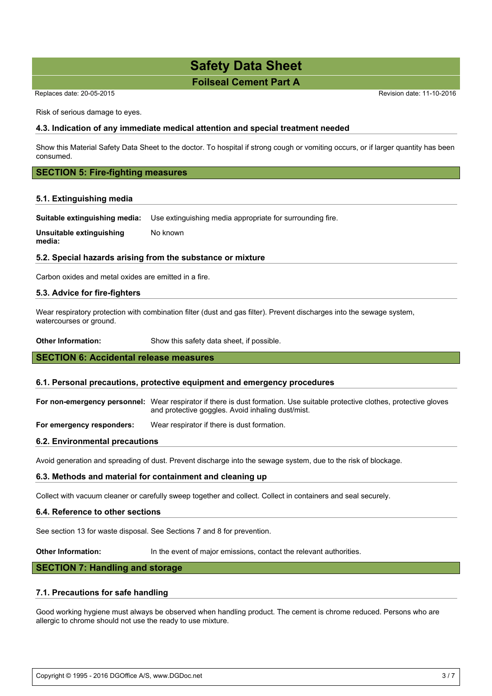## **Foilseal Cement Part A Safety Data Sheet**

Replaces date: 20-05-2015 Replaces date: 11-10-2016

Risk of serious damage to eyes.

### **4.3. Indication of any immediate medical attention and special treatment needed**

Show this Material Safety Data Sheet to the doctor. To hospital if strong cough or vomiting occurs, or if larger quantity has been consumed.

### **SECTION 5: Fire-fighting measures**

### **5.1. Extinguishing media**

**Suitable extinguishing media:** Use extinguishing media appropriate for surrounding fire.

**Unsuitable extinguishing media:** No known

### **5.2. Special hazards arising from the substance or mixture**

Carbon oxides and metal oxides are emitted in a fire.

### **5.3. Advice for fire-fighters**

Wear respiratory protection with combination filter (dust and gas filter). Prevent discharges into the sewage system, watercourses or ground.

**Other Information:** Show this safety data sheet, if possible.

### **SECTION 6: Accidental release measures**

### **6.1. Personal precautions, protective equipment and emergency procedures**

**For non-emergency personnel:** Wear respirator if there is dust formation. Use suitable protective clothes, protective gloves and protective goggles. Avoid inhaling dust/mist.

**For emergency responders:** Wear respirator if there is dust formation.

### **6.2. Environmental precautions**

Avoid generation and spreading of dust. Prevent discharge into the sewage system, due to the risk of blockage.

### **6.3. Methods and material for containment and cleaning up**

Collect with vacuum cleaner or carefully sweep together and collect. Collect in containers and seal securely.

### **6.4. Reference to other sections**

See section 13 for waste disposal. See Sections 7 and 8 for prevention.

**Other Information:** In the event of major emissions, contact the relevant authorities.

### **SECTION 7: Handling and storage**

### **7.1. Precautions for safe handling**

Good working hygiene must always be observed when handling product. The cement is chrome reduced. Persons who are allergic to chrome should not use the ready to use mixture.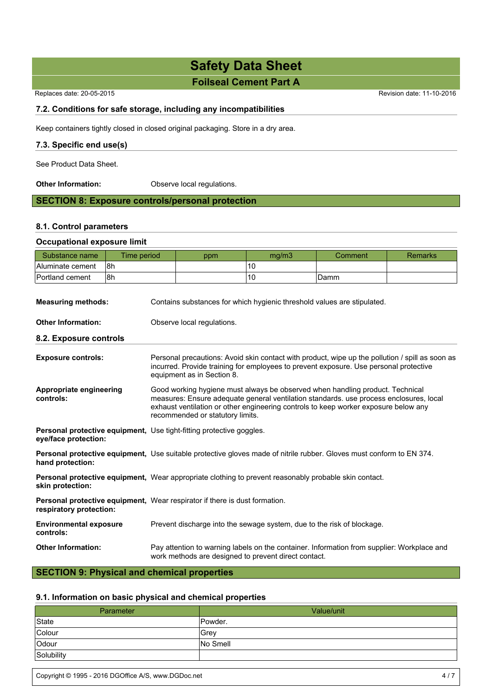## **Foilseal Cement Part A**

Replaces date: 20-05-2015 Revision date: 11-10-2016

### **7.2. Conditions for safe storage, including any incompatibilities**

Keep containers tightly closed in closed original packaging. Store in a dry area.

### **7.3. Specific end use(s)**

See Product Data Sheet.

**Other Information:** Observe local regulations.

## **SECTION 8: Exposure controls/personal protection**

### **8.1. Control parameters**

### **Occupational exposure limit**

| Substance name                             | Time period                                                                                                                 |                                                                                                                                                                                                                                                                                                    | ppm | mg/m3 | Comment | <b>Remarks</b> |  |  |
|--------------------------------------------|-----------------------------------------------------------------------------------------------------------------------------|----------------------------------------------------------------------------------------------------------------------------------------------------------------------------------------------------------------------------------------------------------------------------------------------------|-----|-------|---------|----------------|--|--|
| Aluminate cement                           | l8h                                                                                                                         |                                                                                                                                                                                                                                                                                                    |     | 10    |         |                |  |  |
| Portland cement                            | 8h                                                                                                                          |                                                                                                                                                                                                                                                                                                    |     | 10    | Damm    |                |  |  |
| <b>Measuring methods:</b>                  |                                                                                                                             | Contains substances for which hygienic threshold values are stipulated.                                                                                                                                                                                                                            |     |       |         |                |  |  |
| <b>Other Information:</b>                  |                                                                                                                             | Observe local regulations.                                                                                                                                                                                                                                                                         |     |       |         |                |  |  |
| 8.2. Exposure controls                     |                                                                                                                             |                                                                                                                                                                                                                                                                                                    |     |       |         |                |  |  |
| <b>Exposure controls:</b>                  |                                                                                                                             | Personal precautions: Avoid skin contact with product, wipe up the pollution / spill as soon as<br>incurred. Provide training for employees to prevent exposure. Use personal protective<br>equipment as in Section 8.                                                                             |     |       |         |                |  |  |
| Appropriate engineering<br>controls:       |                                                                                                                             | Good working hygiene must always be observed when handling product. Technical<br>measures: Ensure adequate general ventilation standards, use process enclosures, local<br>exhaust ventilation or other engineering controls to keep worker exposure below any<br>recommended or statutory limits. |     |       |         |                |  |  |
| eye/face protection:                       |                                                                                                                             | <b>Personal protective equipment, Use tight-fitting protective goggles.</b>                                                                                                                                                                                                                        |     |       |         |                |  |  |
| hand protection:                           | <b>Personal protective equipment,</b> Use suitable protective gloves made of nitrile rubber. Gloves must conform to EN 374. |                                                                                                                                                                                                                                                                                                    |     |       |         |                |  |  |
| skin protection:                           |                                                                                                                             | <b>Personal protective equipment, Wear appropriate clothing to prevent reasonably probable skin contact.</b>                                                                                                                                                                                       |     |       |         |                |  |  |
| respiratory protection:                    |                                                                                                                             | <b>Personal protective equipment, Wear respirator if there is dust formation.</b>                                                                                                                                                                                                                  |     |       |         |                |  |  |
| <b>Environmental exposure</b><br>controls: |                                                                                                                             | Prevent discharge into the sewage system, due to the risk of blockage.                                                                                                                                                                                                                             |     |       |         |                |  |  |
| <b>Other Information:</b>                  |                                                                                                                             | Pay attention to warning labels on the container. Information from supplier: Workplace and<br>work methods are designed to prevent direct contact.                                                                                                                                                 |     |       |         |                |  |  |

## **SECTION 9: Physical and chemical properties**

### **9.1. Information on basic physical and chemical properties**

| Parameter  | Value/unit      |
|------------|-----------------|
| State      | Powder.         |
| Colour     | Grev            |
| Odour      | <b>No Smell</b> |
| Solubility |                 |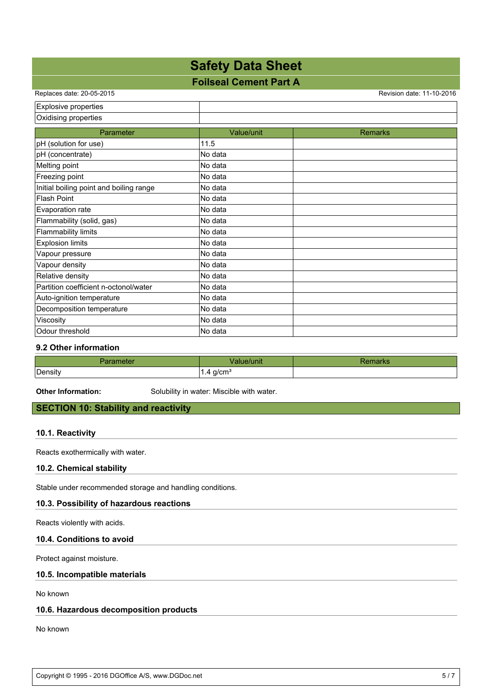## **Foilseal Cement Part A**

Replaces date: 20-05-2015 Revision date: 11-10-2016

| Explosive properties                    |            |                |
|-----------------------------------------|------------|----------------|
| Oxidising properties                    |            |                |
| Parameter                               | Value/unit | <b>Remarks</b> |
| pH (solution for use)                   | 11.5       |                |
| pH (concentrate)                        | No data    |                |
| Melting point                           | No data    |                |
| Freezing point                          | No data    |                |
| Initial boiling point and boiling range | No data    |                |
| <b>Flash Point</b>                      | No data    |                |
| Evaporation rate                        | lNo data   |                |
| Flammability (solid, gas)               | No data    |                |
| Flammability limits                     | No data    |                |
| <b>Explosion limits</b>                 | No data    |                |
| Vapour pressure                         | No data    |                |
| Vapour density                          | No data    |                |
| Relative density                        | No data    |                |
| Partition coefficient n-octonol/water   | No data    |                |
| Auto-ignition temperature               | No data    |                |
| Decomposition temperature               | No data    |                |
| Viscosity                               | No data    |                |
| Odour threshold                         | No data    |                |

### **9.2 Other information**

|         | <b>Munic</b>          |  |
|---------|-----------------------|--|
| Density | g/cm<br>$\cdots$<br>ັ |  |

**Other Information:** Solubility in water: Miscible with water.

### **SECTION 10: Stability and reactivity**

### **10.1. Reactivity**

Reacts exothermically with water.

### **10.2. Chemical stability**

Stable under recommended storage and handling conditions.

### **10.3. Possibility of hazardous reactions**

Reacts violently with acids.

### **10.4. Conditions to avoid**

Protect against moisture.

### **10.5. Incompatible materials**

No known

### **10.6. Hazardous decomposition products**

No known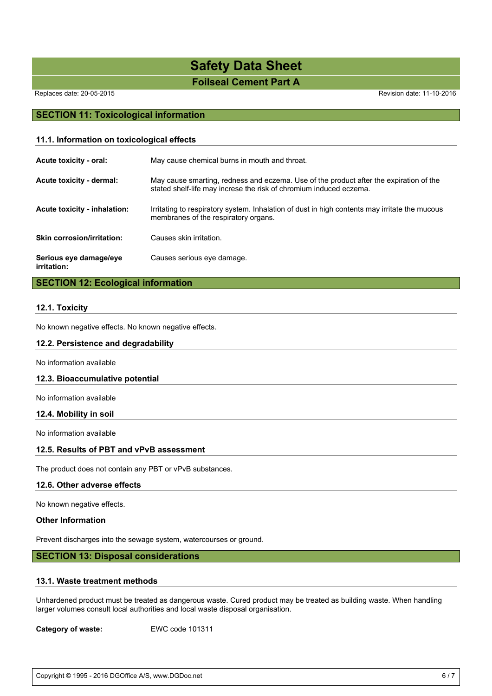## **Foilseal Cement Part A Safety Data Sheet**

Replaces date: 20-05-2015 **Replaces** date: 11-10-2016

### **SECTION 11: Toxicological information**

| 11.1. Information on toxicological effects |                                                                                                                                                              |  |
|--------------------------------------------|--------------------------------------------------------------------------------------------------------------------------------------------------------------|--|
| Acute toxicity - oral:                     | May cause chemical burns in mouth and throat.                                                                                                                |  |
| Acute toxicity - dermal:                   | May cause smarting, redness and eczema. Use of the product after the expiration of the<br>stated shelf-life may increse the risk of chromium induced eczema. |  |
| Acute toxicity - inhalation:               | Irritating to respiratory system. Inhalation of dust in high contents may irritate the mucous<br>membranes of the respiratory organs.                        |  |
| <b>Skin corrosion/irritation:</b>          | Causes skin irritation.                                                                                                                                      |  |
| Serious eye damage/eye<br>irritation:      | Causes serious eye damage.                                                                                                                                   |  |

### **SECTION 12: Ecological information**

### **12.1. Toxicity**

No known negative effects. No known negative effects.

### **12.2. Persistence and degradability**

No information available

### **12.3. Bioaccumulative potential**

No information available

### **12.4. Mobility in soil**

No information available

### **12.5. Results of PBT and vPvB assessment**

The product does not contain any PBT or vPvB substances.

### **12.6. Other adverse effects**

No known negative effects.

### **Other Information**

Prevent discharges into the sewage system, watercourses or ground.

### **SECTION 13: Disposal considerations**

### **13.1. Waste treatment methods**

Unhardened product must be treated as dangerous waste. Cured product may be treated as building waste. When handling larger volumes consult local authorities and local waste disposal organisation.

**Category of waste:** EWC code 101311